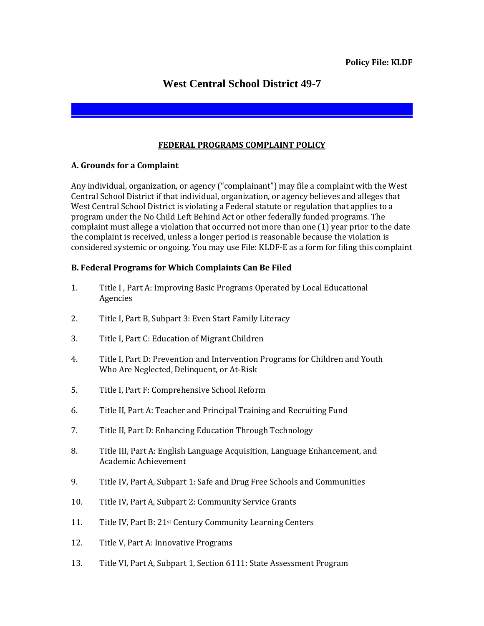# **West Central School District 49-7**

## **FEDERAL PROGRAMS COMPLAINT POLICY**

#### **A. Grounds for a Complaint**

Any individual, organization, or agency ("complainant") may file a complaint with the West Central School District if that individual, organization, or agency believes and alleges that West Central School District is violating a Federal statute or regulation that applies to a program under the No Child Left Behind Act or other federally funded programs. The complaint must allege a violation that occurred not more than one (1) year prior to the date the complaint is received, unless a longer period is reasonable because the violation is considered systemic or ongoing. You may use File: KLDF-E as a form for filing this complaint

## **B. Federal Programs for Which Complaints Can Be Filed**

- 1. Title I , Part A: Improving Basic Programs Operated by Local Educational Agencies
- 2. Title I, Part B, Subpart 3: Even Start Family Literacy
- 3. Title I, Part C: Education of Migrant Children
- 4. Title I, Part D: Prevention and Intervention Programs for Children and Youth Who Are Neglected, Delinquent, or At-Risk
- 5. Title I, Part F: Comprehensive School Reform
- 6. Title II, Part A: Teacher and Principal Training and Recruiting Fund
- 7. Title II, Part D: Enhancing Education Through Technology
- 8. Title III, Part A: English Language Acquisition, Language Enhancement, and Academic Achievement
- 9. Title IV, Part A, Subpart 1: Safe and Drug Free Schools and Communities
- 10. Title IV, Part A, Subpart 2: Community Service Grants
- 11. Title IV, Part B: 21st Century Community Learning Centers
- 12. Title V, Part A: Innovative Programs
- 13. Title VI, Part A, Subpart 1, Section 6111: State Assessment Program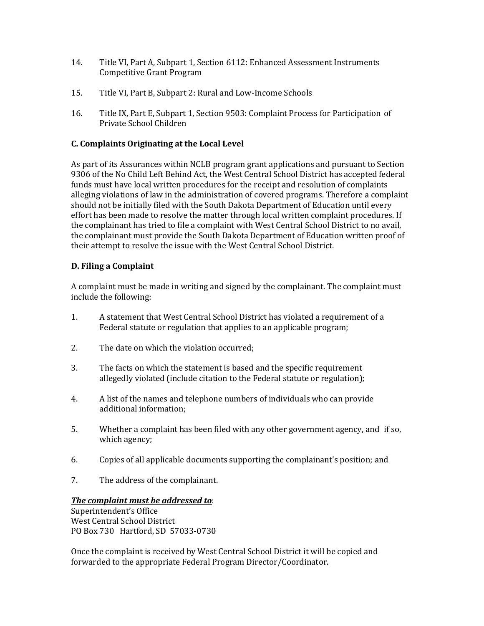- 14. Title VI, Part A, Subpart 1, Section 6112: Enhanced Assessment Instruments Competitive Grant Program
- 15. Title VI, Part B, Subpart 2: Rural and Low-Income Schools
- 16. Title IX, Part E, Subpart 1, Section 9503: Complaint Process for Participation of Private School Children

# **C. Complaints Originating at the Local Level**

As part of its Assurances within NCLB program grant applications and pursuant to Section 9306 of the No Child Left Behind Act, the West Central School District has accepted federal funds must have local written procedures for the receipt and resolution of complaints alleging violations of law in the administration of covered programs. Therefore a complaint should not be initially filed with the South Dakota Department of Education until every effort has been made to resolve the matter through local written complaint procedures. If the complainant has tried to file a complaint with West Central School District to no avail, the complainant must provide the South Dakota Department of Education written proof of their attempt to resolve the issue with the West Central School District.

## **D. Filing a Complaint**

A complaint must be made in writing and signed by the complainant. The complaint must include the following:

- 1. A statement that West Central School District has violated a requirement of a Federal statute or regulation that applies to an applicable program;
- 2. The date on which the violation occurred;
- 3. The facts on which the statement is based and the specific requirement allegedly violated (include citation to the Federal statute or regulation);
- 4. A list of the names and telephone numbers of individuals who can provide additional information;
- 5. Whether a complaint has been filed with any other government agency, and if so, which agency;
- 6. Copies of all applicable documents supporting the complainant's position; and
- 7. The address of the complainant.

## *The complaint must be addressed to*:

Superintendent's Office West Central School District PO Box 730 Hartford, SD 57033-0730

Once the complaint is received by West Central School District it will be copied and forwarded to the appropriate Federal Program Director/Coordinator.